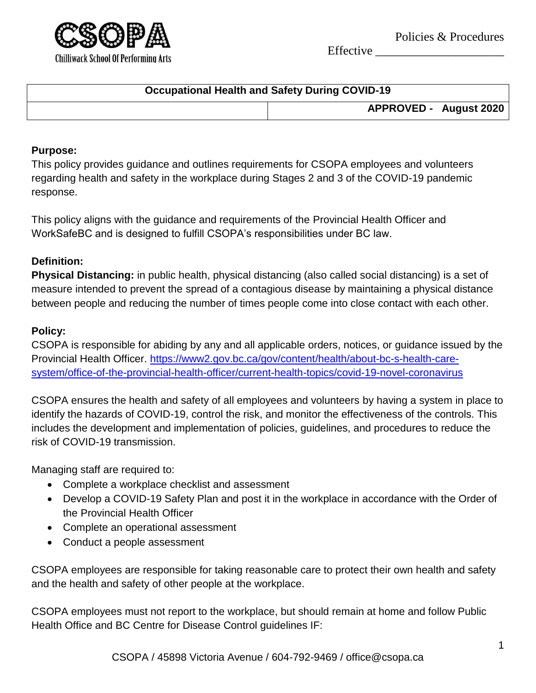

Effective \_\_\_\_\_\_\_\_\_\_\_\_\_\_\_\_\_\_\_\_\_

| <b>Occupational Health and Safety During COVID-19</b> |                               |  |
|-------------------------------------------------------|-------------------------------|--|
|                                                       | <b>APPROVED - August 2020</b> |  |

## **Purpose:**

This policy provides guidance and outlines requirements for CSOPA employees and volunteers regarding health and safety in the workplace during Stages 2 and 3 of the COVID-19 pandemic response.

This policy aligns with the guidance and requirements of the Provincial Health Officer and WorkSafeBC and is designed to fulfill CSOPA's responsibilities under BC law.

## **Definition:**

**Physical Distancing:** in public health, physical distancing (also called social distancing) is a set of measure intended to prevent the spread of a contagious disease by maintaining a physical distance between people and reducing the number of times people come into close contact with each other.

#### **Policy:**

CSOPA is responsible for abiding by any and all applicable orders, notices, or guidance issued by the Provincial Health Officer. [https://www2.gov.bc.ca/gov/content/health/about-bc-s-health-care](https://www2.gov.bc.ca/gov/content/health/about-bc-s-health-care-system/office-of-the-provincial-health-officer/current-health-topics/covid-19-novel-coronavirus)[system/office-of-the-provincial-health-officer/current-health-topics/covid-19-novel-coronavirus](https://www2.gov.bc.ca/gov/content/health/about-bc-s-health-care-system/office-of-the-provincial-health-officer/current-health-topics/covid-19-novel-coronavirus)

CSOPA ensures the health and safety of all employees and volunteers by having a system in place to identify the hazards of COVID-19, control the risk, and monitor the effectiveness of the controls. This includes the development and implementation of policies, guidelines, and procedures to reduce the risk of COVID-19 transmission.

Managing staff are required to:

- Complete a workplace checklist and assessment
- Develop a COVID-19 Safety Plan and post it in the workplace in accordance with the Order of the Provincial Health Officer
- Complete an operational assessment
- Conduct a people assessment

CSOPA employees are responsible for taking reasonable care to protect their own health and safety and the health and safety of other people at the workplace.

CSOPA employees must not report to the workplace, but should remain at home and follow Public Health Office and BC Centre for Disease Control guidelines IF: